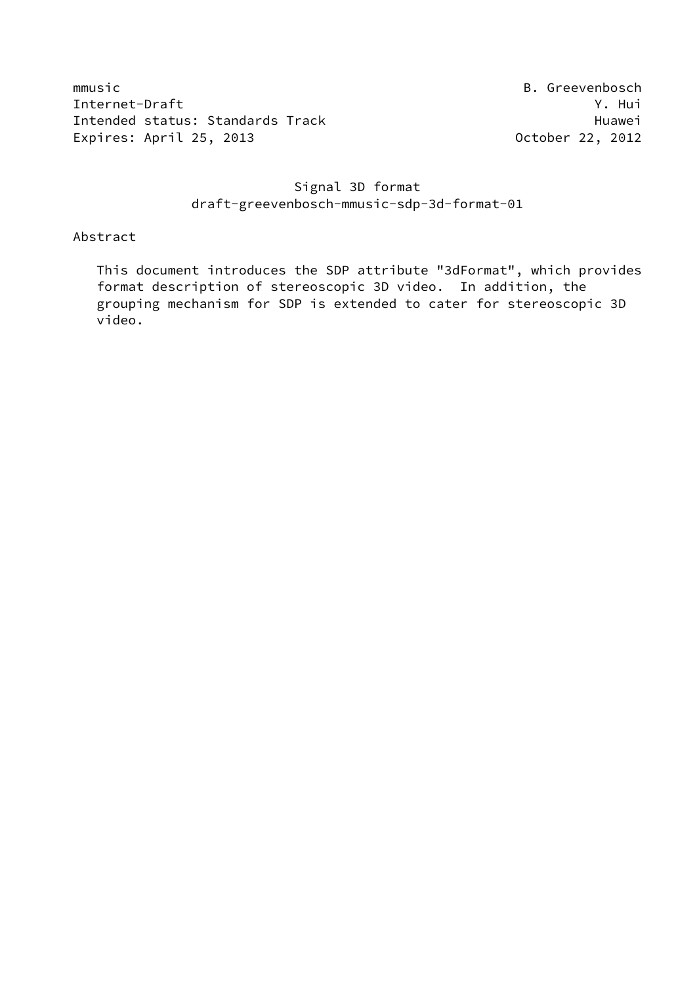mmusic **B. Greevenbosch** Internet-Draft Y. Hui Intended status: Standards Track Huawei Expires: April 25, 2013 October 22, 2012

# Signal 3D format draft-greevenbosch-mmusic-sdp-3d-format-01

# Abstract

 This document introduces the SDP attribute "3dFormat", which provides format description of stereoscopic 3D video. In addition, the grouping mechanism for SDP is extended to cater for stereoscopic 3D video.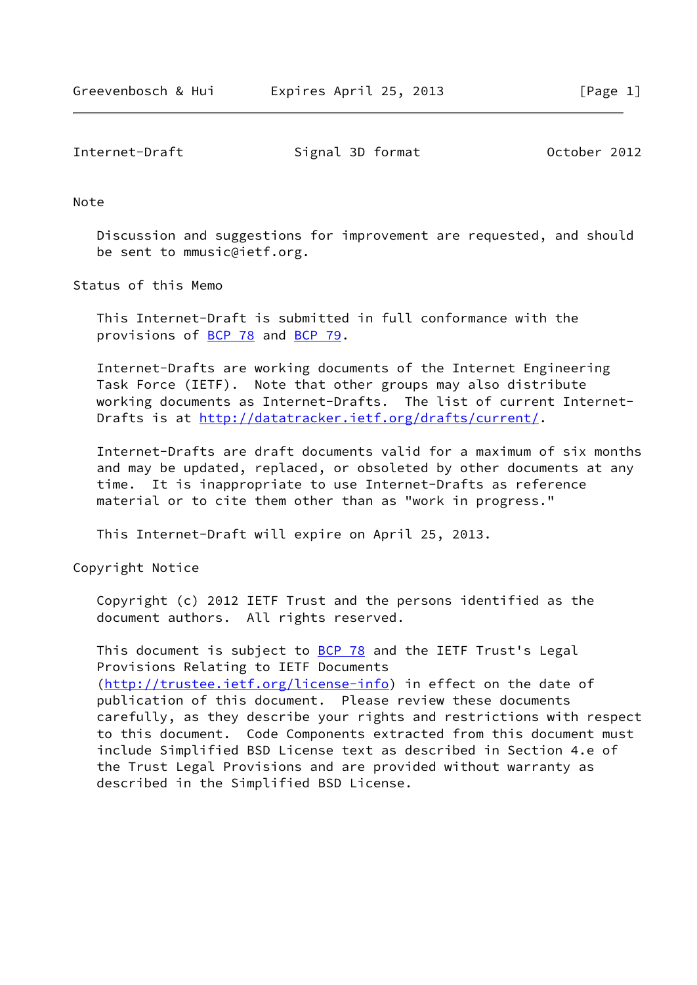Internet-Draft Signal 3D format October 2012

Note

 Discussion and suggestions for improvement are requested, and should be sent to mmusic@ietf.org.

Status of this Memo

 This Internet-Draft is submitted in full conformance with the provisions of [BCP 78](https://datatracker.ietf.org/doc/pdf/bcp78) and [BCP 79](https://datatracker.ietf.org/doc/pdf/bcp79).

 Internet-Drafts are working documents of the Internet Engineering Task Force (IETF). Note that other groups may also distribute working documents as Internet-Drafts. The list of current Internet- Drafts is at<http://datatracker.ietf.org/drafts/current/>.

 Internet-Drafts are draft documents valid for a maximum of six months and may be updated, replaced, or obsoleted by other documents at any time. It is inappropriate to use Internet-Drafts as reference material or to cite them other than as "work in progress."

This Internet-Draft will expire on April 25, 2013.

Copyright Notice

 Copyright (c) 2012 IETF Trust and the persons identified as the document authors. All rights reserved.

This document is subject to **[BCP 78](https://datatracker.ietf.org/doc/pdf/bcp78)** and the IETF Trust's Legal Provisions Relating to IETF Documents [\(http://trustee.ietf.org/license-info](http://trustee.ietf.org/license-info)) in effect on the date of publication of this document. Please review these documents carefully, as they describe your rights and restrictions with respect to this document. Code Components extracted from this document must include Simplified BSD License text as described in Section 4.e of the Trust Legal Provisions and are provided without warranty as described in the Simplified BSD License.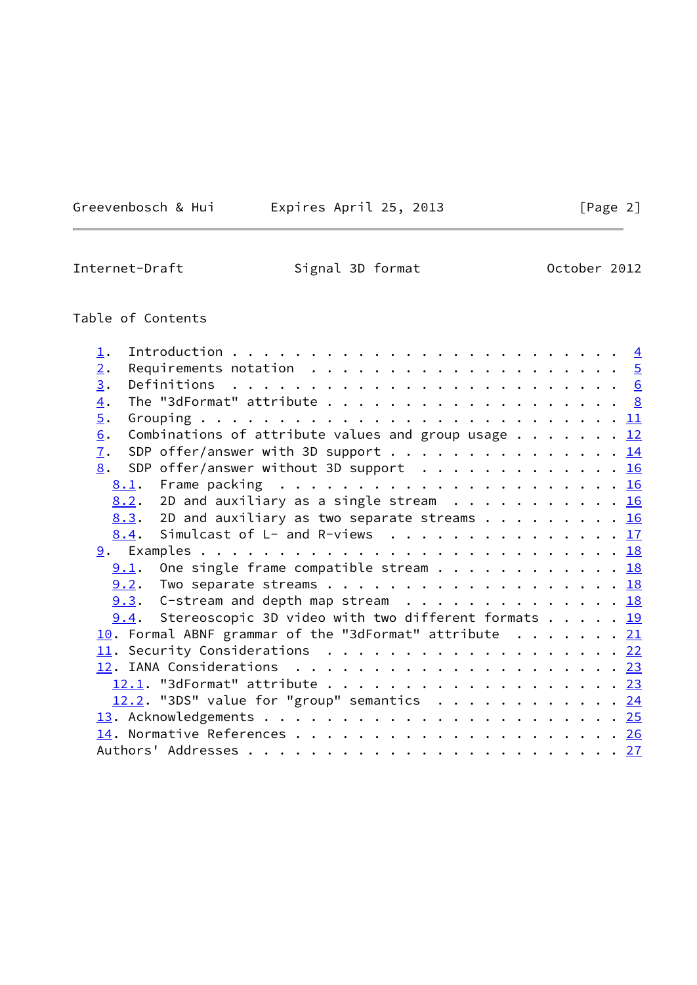Greevenbosch & Hui Fxpires April 25, 2013 [Page 2]

Internet-Draft Signal 3D format 6 0ctober 2012

# Table of Contents

| Requirements notation $\ldots \ldots \ldots \ldots \ldots \ldots \ldots$ |
|--------------------------------------------------------------------------|
|                                                                          |
|                                                                          |
|                                                                          |
| Combinations of attribute values and group usage $\underline{12}$        |
| SDP offer/answer with 3D support 14                                      |
| 8. SDP offer/answer without 3D support 16                                |
|                                                                          |
| <u>8.2</u> . 2D and auxiliary as a single stream $\cdots$ 16             |
| <u>8.3</u> . 2D and auxiliary as two separate streams $\ldots$ <u>16</u> |
| <u>8.4</u> . Simulcast of L- and R-views 17                              |
|                                                                          |
| One single frame compatible stream 18                                    |
|                                                                          |
| $9.3$ . C-stream and depth map stream 18                                 |
| $9.4$ . Stereoscopic 3D video with two different formats 19              |
| $\frac{10}{10}$ . Formal ABNF grammar of the "3dFormat" attribute 21     |
| 11. Security Considerations 22                                           |
|                                                                          |
|                                                                          |
| 12.2. "3DS" value for "group" semantics 24                               |
|                                                                          |
|                                                                          |
|                                                                          |
|                                                                          |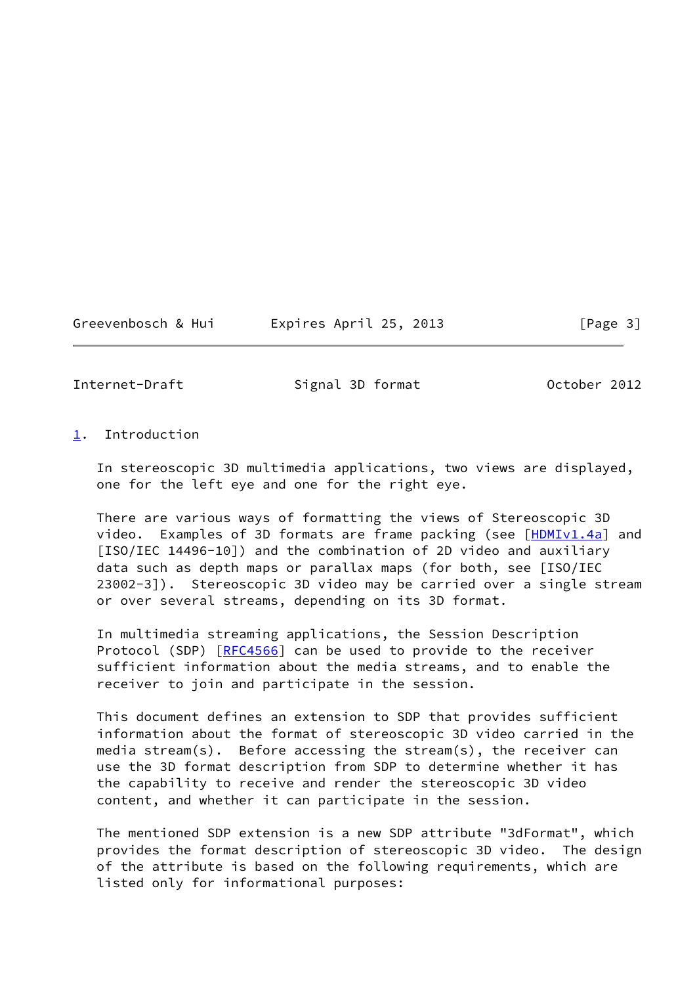Greevenbosch & Hui Expires April 25, 2013 [Page 3]

<span id="page-3-1"></span>

Internet-Draft Signal 3D format October 2012

### <span id="page-3-0"></span>[1](#page-3-0). Introduction

 In stereoscopic 3D multimedia applications, two views are displayed, one for the left eye and one for the right eye.

 There are various ways of formatting the views of Stereoscopic 3D video. Examples of 3D formats are frame packing (see  $[HDMIV1.4a]$  and [ISO/IEC 14496-10]) and the combination of 2D video and auxiliary data such as depth maps or parallax maps (for both, see [ISO/IEC 23002-3]). Stereoscopic 3D video may be carried over a single stream or over several streams, depending on its 3D format.

 In multimedia streaming applications, the Session Description Protocol (SDP) [\[RFC4566](https://datatracker.ietf.org/doc/pdf/rfc4566)] can be used to provide to the receiver sufficient information about the media streams, and to enable the receiver to join and participate in the session.

 This document defines an extension to SDP that provides sufficient information about the format of stereoscopic 3D video carried in the media stream(s). Before accessing the stream(s), the receiver can use the 3D format description from SDP to determine whether it has the capability to receive and render the stereoscopic 3D video content, and whether it can participate in the session.

 The mentioned SDP extension is a new SDP attribute "3dFormat", which provides the format description of stereoscopic 3D video. The design of the attribute is based on the following requirements, which are listed only for informational purposes: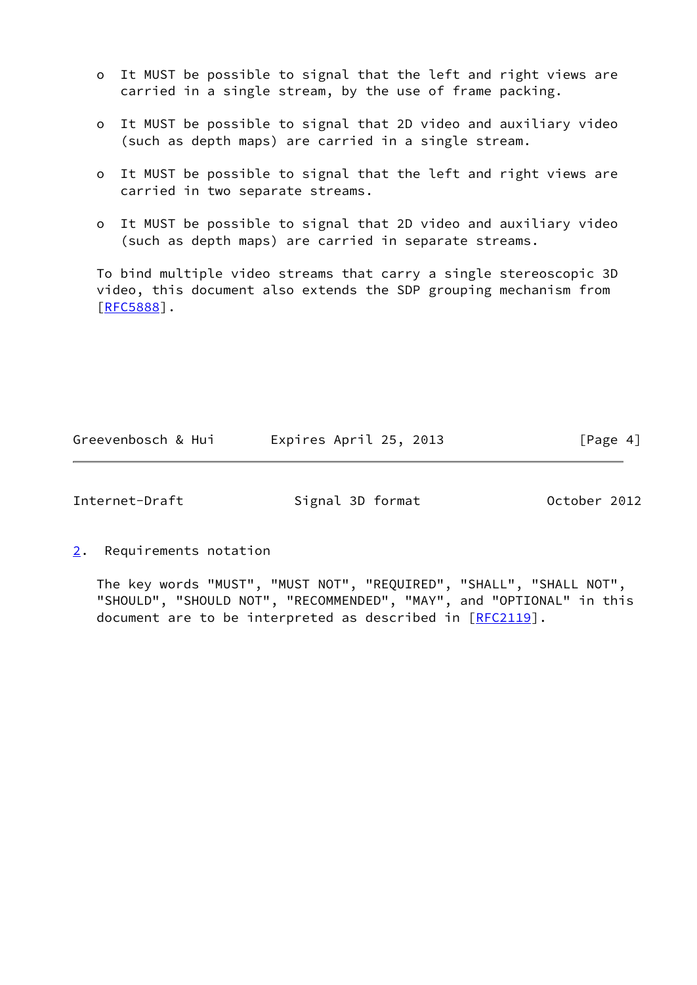- o It MUST be possible to signal that the left and right views are carried in a single stream, by the use of frame packing.
- o It MUST be possible to signal that 2D video and auxiliary video (such as depth maps) are carried in a single stream.
- o It MUST be possible to signal that the left and right views are carried in two separate streams.
- o It MUST be possible to signal that 2D video and auxiliary video (such as depth maps) are carried in separate streams.

 To bind multiple video streams that carry a single stereoscopic 3D video, this document also extends the SDP grouping mechanism from [\[RFC5888](https://datatracker.ietf.org/doc/pdf/rfc5888)].

| Greevenbosch & Hui | Expires April 25, 2013 | [Page 4] |
|--------------------|------------------------|----------|
|                    |                        |          |

<span id="page-4-1"></span>Internet-Draft Signal 3D format October 2012

<span id="page-4-0"></span>[2](#page-4-0). Requirements notation

 The key words "MUST", "MUST NOT", "REQUIRED", "SHALL", "SHALL NOT", "SHOULD", "SHOULD NOT", "RECOMMENDED", "MAY", and "OPTIONAL" in this document are to be interpreted as described in [\[RFC2119](https://datatracker.ietf.org/doc/pdf/rfc2119)].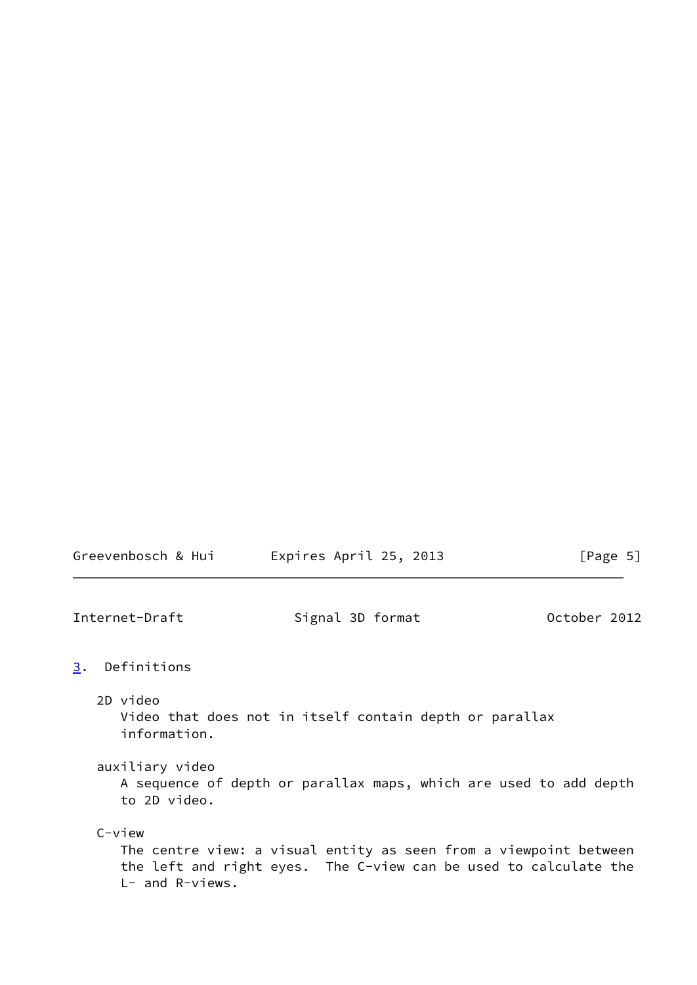| Greevenbosch & Hui | Expires April 25, 2013 | [Page 5] |
|--------------------|------------------------|----------|
|                    |                        |          |

<span id="page-5-1"></span>

| Internet-Draft | Signal 3D format | October 2012 |  |
|----------------|------------------|--------------|--|
|                |                  |              |  |

# <span id="page-5-0"></span>[3](#page-5-0). Definitions

 2D video Video that does not in itself contain depth or parallax information.

 auxiliary video A sequence of depth or parallax maps, which are used to add depth to 2D video.

# C-view

 The centre view: a visual entity as seen from a viewpoint between the left and right eyes. The C-view can be used to calculate the L- and R-views.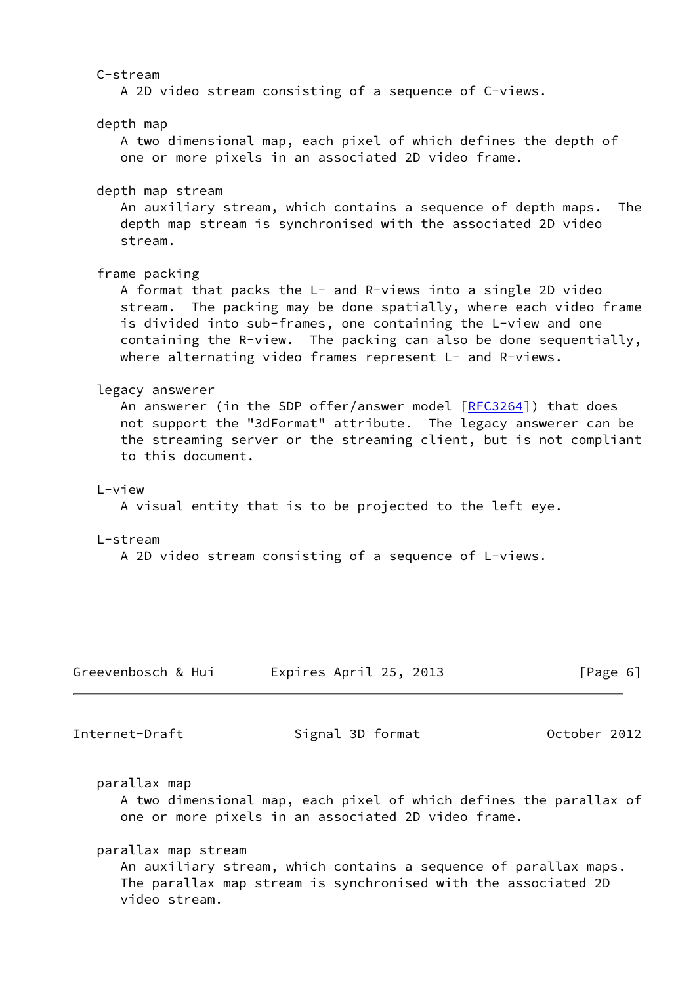### C-stream

A 2D video stream consisting of a sequence of C-views.

#### depth map

 A two dimensional map, each pixel of which defines the depth of one or more pixels in an associated 2D video frame.

depth map stream

 An auxiliary stream, which contains a sequence of depth maps. The depth map stream is synchronised with the associated 2D video stream.

### frame packing

 A format that packs the L- and R-views into a single 2D video stream. The packing may be done spatially, where each video frame is divided into sub-frames, one containing the L-view and one containing the R-view. The packing can also be done sequentially, where alternating video frames represent L- and R-views.

#### legacy answerer

An answerer (in the SDP offer/answer model [[RFC3264](https://datatracker.ietf.org/doc/pdf/rfc3264)]) that does not support the "3dFormat" attribute. The legacy answerer can be the streaming server or the streaming client, but is not compliant to this document.

### L-view

A visual entity that is to be projected to the left eye.

### L-stream

A 2D video stream consisting of a sequence of L-views.

| Expires April 25, 2013<br>Greevenbosch & Hui | [Page 6] |
|----------------------------------------------|----------|
|----------------------------------------------|----------|

Internet-Draft Signal 3D format October 2012

parallax map

 A two dimensional map, each pixel of which defines the parallax of one or more pixels in an associated 2D video frame.

#### parallax map stream

 An auxiliary stream, which contains a sequence of parallax maps. The parallax map stream is synchronised with the associated 2D video stream.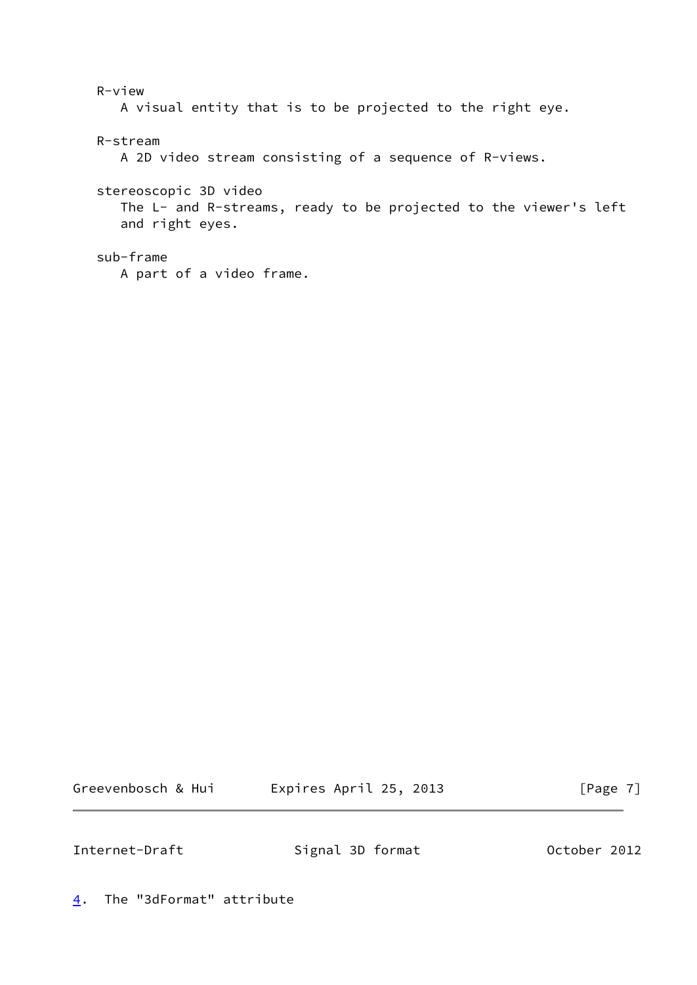R-view A visual entity that is to be projected to the right eye. R-stream A 2D video stream consisting of a sequence of R-views. stereoscopic 3D video The L- and R-streams, ready to be projected to the viewer's left and right eyes. sub-frame A part of a video frame.

Greevenbosch & Hui Fxpires April 25, 2013 [Page 7]

<span id="page-7-1"></span>

Internet-Draft Signal 3D format October 2012

<span id="page-7-0"></span>[4](#page-7-0). The "3dFormat" attribute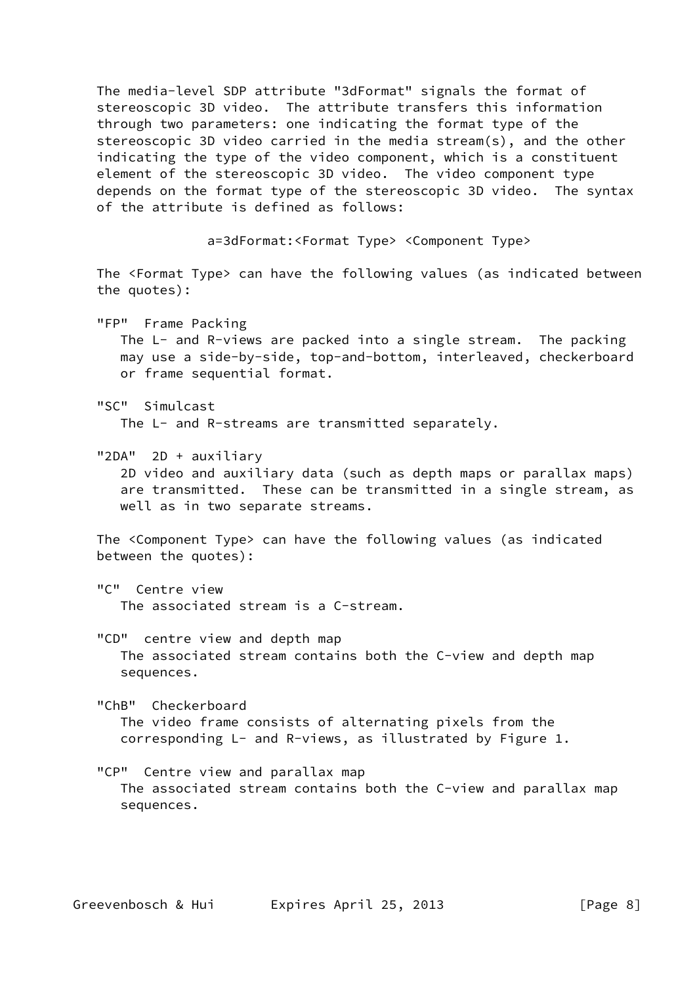The media-level SDP attribute "3dFormat" signals the format of stereoscopic 3D video. The attribute transfers this information through two parameters: one indicating the format type of the stereoscopic 3D video carried in the media stream(s), and the other indicating the type of the video component, which is a constituent element of the stereoscopic 3D video. The video component type depends on the format type of the stereoscopic 3D video. The syntax of the attribute is defined as follows:

a=3dFormat:<Format Type> <Component Type>

 The <Format Type> can have the following values (as indicated between the quotes):

"FP" Frame Packing

The L- and R-views are packed into a single stream. The packing may use a side-by-side, top-and-bottom, interleaved, checkerboard or frame sequential format.

"SC" Simulcast

The L- and R-streams are transmitted separately.

"2DA" 2D + auxiliary

 2D video and auxiliary data (such as depth maps or parallax maps) are transmitted. These can be transmitted in a single stream, as well as in two separate streams.

 The <Component Type> can have the following values (as indicated between the quotes):

 "C" Centre view The associated stream is a C-stream.

 "CD" centre view and depth map The associated stream contains both the C-view and depth map sequences.

 "ChB" Checkerboard The video frame consists of alternating pixels from the corresponding L- and R-views, as illustrated by Figure 1.

 "CP" Centre view and parallax map The associated stream contains both the C-view and parallax map sequences.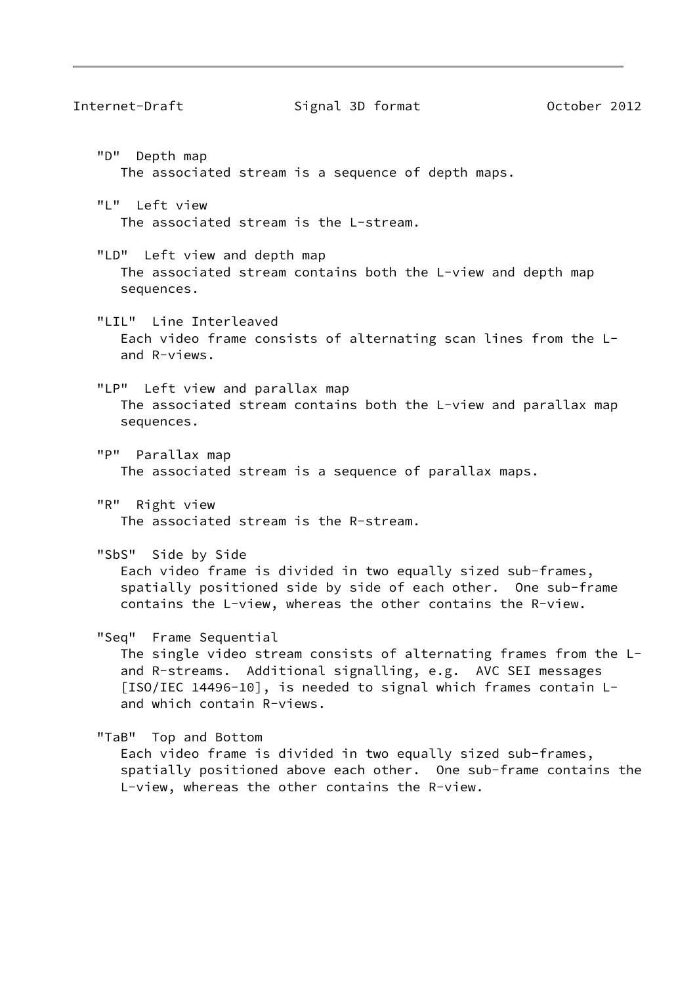Internet-Draft Signal 3D format October 2012 "D" Depth map The associated stream is a sequence of depth maps. "L" Left view The associated stream is the L-stream. "LD" Left view and depth map The associated stream contains both the L-view and depth map sequences. "LIL" Line Interleaved Each video frame consists of alternating scan lines from the L and R-views. "LP" Left view and parallax map The associated stream contains both the L-view and parallax map sequences. "P" Parallax map The associated stream is a sequence of parallax maps. "R" Right view The associated stream is the R-stream. "SbS" Side by Side Each video frame is divided in two equally sized sub-frames, spatially positioned side by side of each other. One sub-frame contains the L-view, whereas the other contains the R-view. "Seq" Frame Sequential The single video stream consists of alternating frames from the L and R-streams. Additional signalling, e.g. AVC SEI messages [ISO/IEC 14496-10], is needed to signal which frames contain L and which contain R-views. "TaB" Top and Bottom Each video frame is divided in two equally sized sub-frames, spatially positioned above each other. One sub-frame contains the L-view, whereas the other contains the R-view.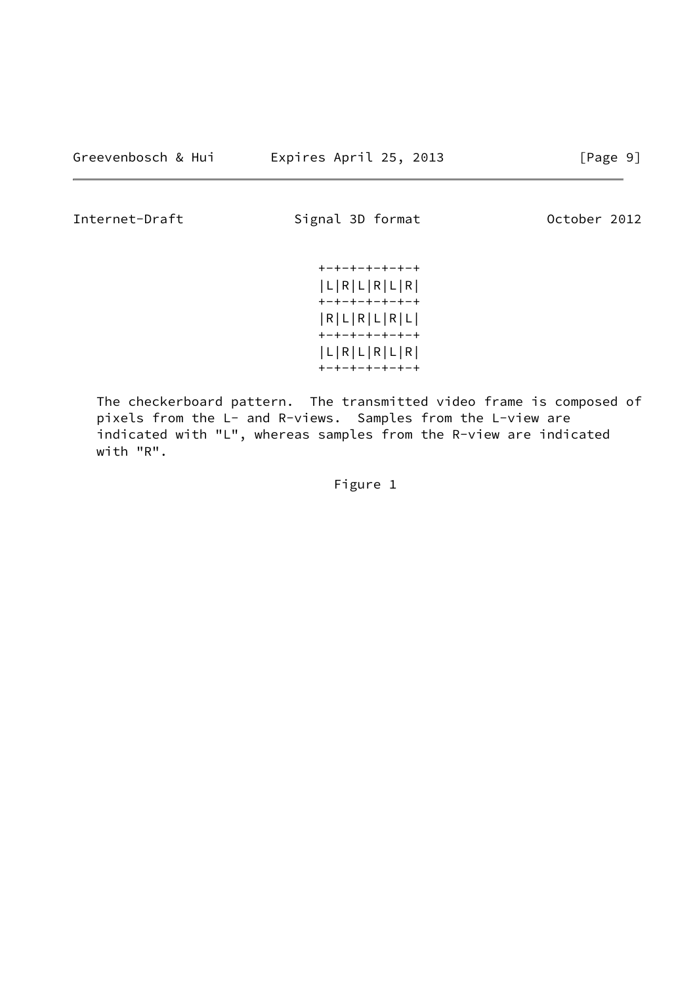Internet-Draft Signal 3D format October 2012

 +-+-+-+-+-+-+ |L|R|L|R|L|R| +-+-+-+-+-+-+ |R|L|R|L|R|L| +-+-+-+-+-+-+ |L|R|L|R|L|R| +-+-+-+-+-+-+

 The checkerboard pattern. The transmitted video frame is composed of pixels from the L- and R-views. Samples from the L-view are indicated with "L", whereas samples from the R-view are indicated with "R".

Figure 1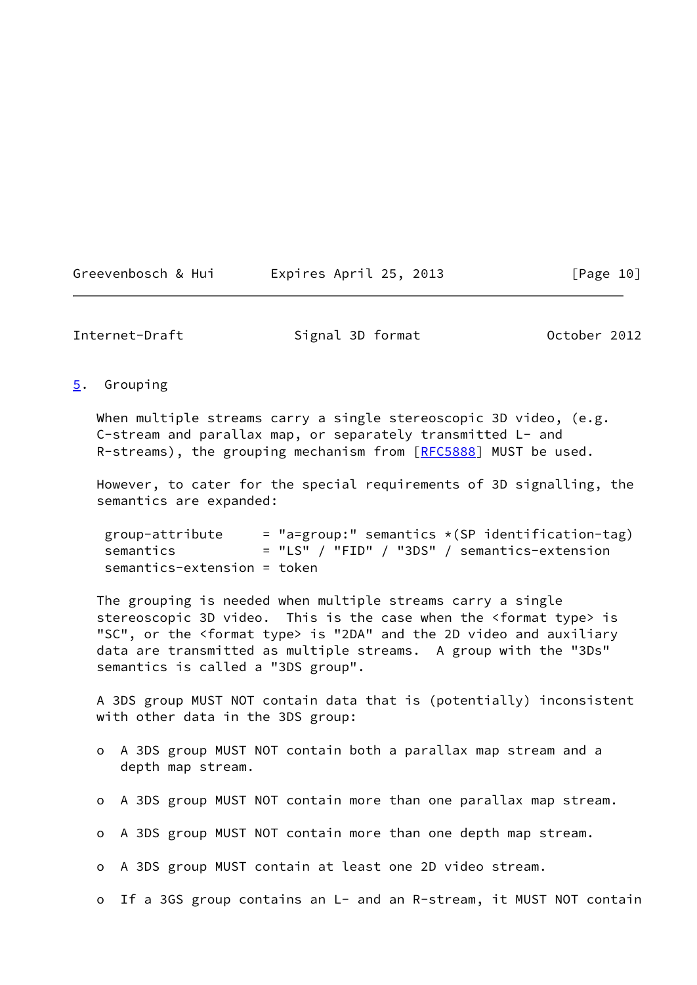Greevenbosch & Hui Fxpires April 25, 2013 [Page 10]

<span id="page-11-1"></span>

Internet-Draft Signal 3D format 6 October 2012

### <span id="page-11-0"></span>[5](#page-11-0). Grouping

 When multiple streams carry a single stereoscopic 3D video, (e.g. C-stream and parallax map, or separately transmitted L- and R-streams), the grouping mechanism from [\[RFC5888](https://datatracker.ietf.org/doc/pdf/rfc5888)] MUST be used.

 However, to cater for the special requirements of 3D signalling, the semantics are expanded:

group-attribute  $= "a=group: " semantics * (SP identification-tag)$  semantics = "LS" / "FID" / "3DS" / semantics-extension semantics-extension = token

 The grouping is needed when multiple streams carry a single stereoscopic 3D video. This is the case when the <format type> is "SC", or the <format type> is "2DA" and the 2D video and auxiliary data are transmitted as multiple streams. A group with the "3Ds" semantics is called a "3DS group".

 A 3DS group MUST NOT contain data that is (potentially) inconsistent with other data in the 3DS group:

- o A 3DS group MUST NOT contain both a parallax map stream and a depth map stream.
- o A 3DS group MUST NOT contain more than one parallax map stream.
- o A 3DS group MUST NOT contain more than one depth map stream.

o A 3DS group MUST contain at least one 2D video stream.

o If a 3GS group contains an L- and an R-stream, it MUST NOT contain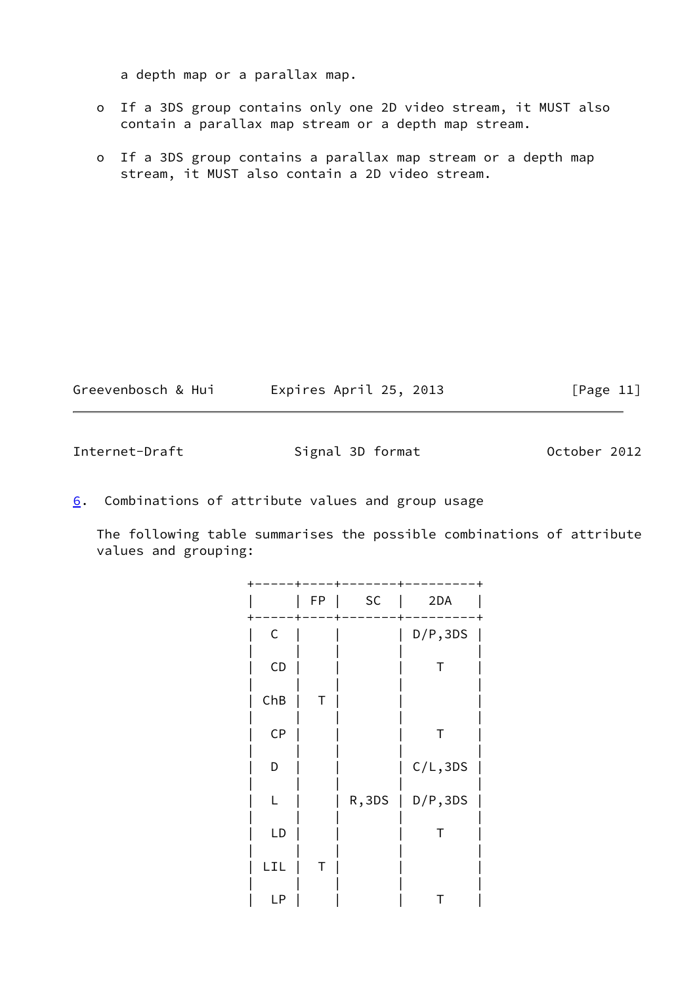a depth map or a parallax map.

- o If a 3DS group contains only one 2D video stream, it MUST also contain a parallax map stream or a depth map stream.
- o If a 3DS group contains a parallax map stream or a depth map stream, it MUST also contain a 2D video stream.

| Greevenbosch & Hui | Expires April 25, 2013 | [Page 11] |
|--------------------|------------------------|-----------|
|                    |                        |           |

<span id="page-12-1"></span>

| Internet-Draft | Signal 3D format | October 2012 |  |
|----------------|------------------|--------------|--|
|                |                  |              |  |

<span id="page-12-0"></span>[6](#page-12-0). Combinations of attribute values and group usage

 The following table summarises the possible combinations of attribute values and grouping:

|                        | FP | $\mathsf{SC}$ | 2DA         |
|------------------------|----|---------------|-------------|
| $\mathsf C$            |    |               | $D/P$ , 3DS |
| CD                     |    |               | Τ           |
| ChB                    | Τ  |               |             |
| $\mathsf{C}\mathsf{P}$ |    |               | Τ           |
| D                      |    |               | $C/L$ , 3DS |
| L                      |    | R,3DS         | $D/P$ , 3DS |
| LD                     |    |               | Τ           |
| LIL                    | Τ  |               |             |
| <b>LP</b>              |    |               |             |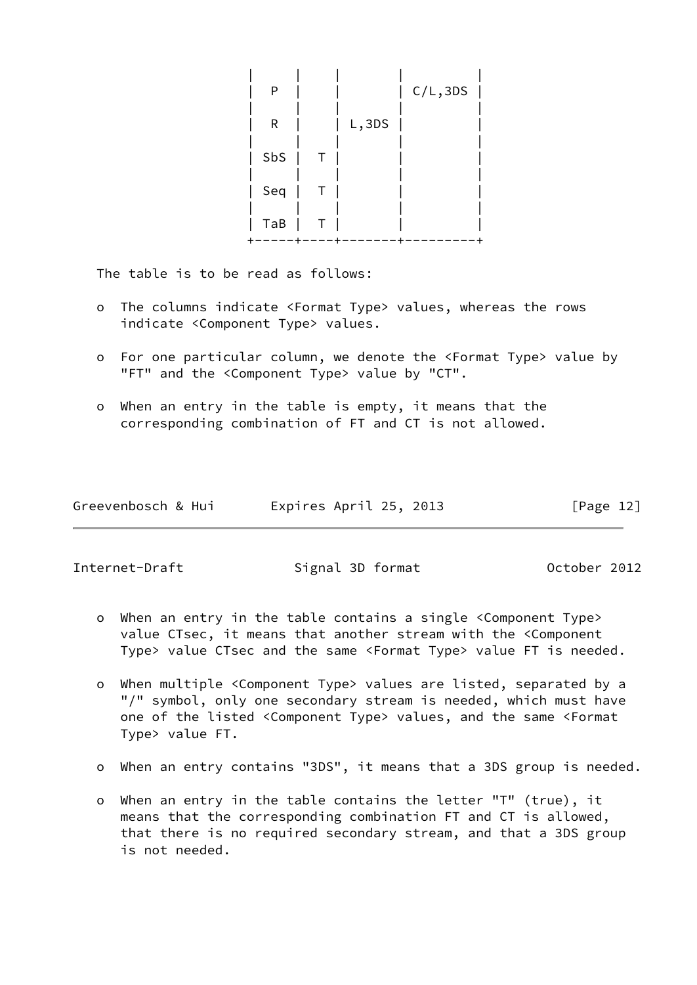| P   |    |       | $C/L$ , 3DS |
|-----|----|-------|-------------|
| R   |    | L,3DS |             |
| SbS | T. |       |             |
| Seq | Т  |       |             |
| TaB | Τ  |       |             |

The table is to be read as follows:

- o The columns indicate <Format Type> values, whereas the rows indicate <Component Type> values.
- o For one particular column, we denote the <Format Type> value by "FT" and the <Component Type> value by "CT".
- o When an entry in the table is empty, it means that the corresponding combination of FT and CT is not allowed.

| Greevenbosch & Hui | Expires April 25, 2013 | [Page 12] |
|--------------------|------------------------|-----------|
|                    |                        |           |

Internet-Draft Signal 3D format 6 October 2012

- o When an entry in the table contains a single <Component Type> value CTsec, it means that another stream with the <Component Type> value CTsec and the same <Format Type> value FT is needed.
- o When multiple <Component Type> values are listed, separated by a "/" symbol, only one secondary stream is needed, which must have one of the listed <Component Type> values, and the same <Format Type> value FT.
- o When an entry contains "3DS", it means that a 3DS group is needed.
- o When an entry in the table contains the letter "T" (true), it means that the corresponding combination FT and CT is allowed, that there is no required secondary stream, and that a 3DS group is not needed.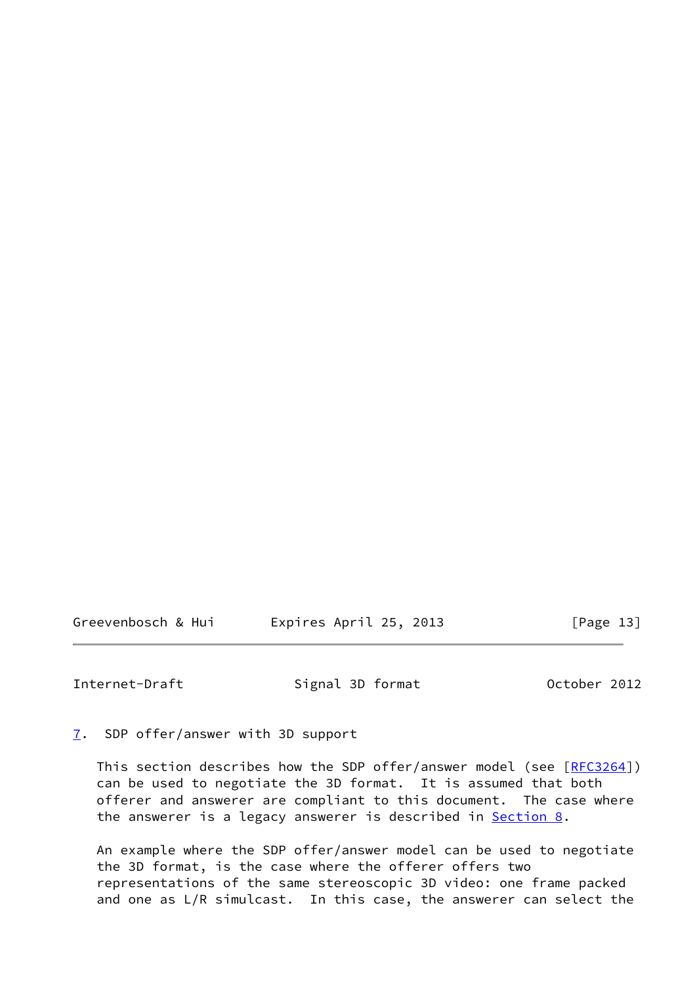Greevenbosch & Hui Fxpires April 25, 2013 [Page 13]

<span id="page-14-1"></span>Internet-Draft Signal 3D format October 2012

<span id="page-14-0"></span>[7](#page-14-0). SDP offer/answer with 3D support

This section describes how the SDP offer/answer model (see [[RFC3264\]](https://datatracker.ietf.org/doc/pdf/rfc3264)) can be used to negotiate the 3D format. It is assumed that both offerer and answerer are compliant to this document. The case where the answerer is a legacy answerer is described in [Section 8.](#page-17-0)

 An example where the SDP offer/answer model can be used to negotiate the 3D format, is the case where the offerer offers two representations of the same stereoscopic 3D video: one frame packed and one as L/R simulcast. In this case, the answerer can select the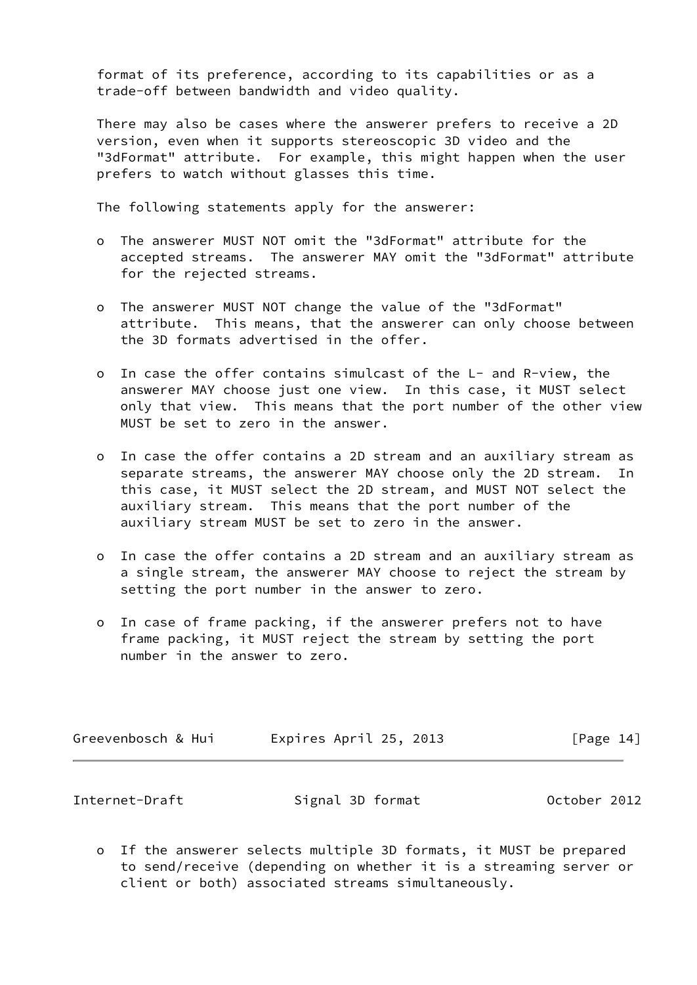format of its preference, according to its capabilities or as a trade-off between bandwidth and video quality.

 There may also be cases where the answerer prefers to receive a 2D version, even when it supports stereoscopic 3D video and the "3dFormat" attribute. For example, this might happen when the user prefers to watch without glasses this time.

The following statements apply for the answerer:

- o The answerer MUST NOT omit the "3dFormat" attribute for the accepted streams. The answerer MAY omit the "3dFormat" attribute for the rejected streams.
- o The answerer MUST NOT change the value of the "3dFormat" attribute. This means, that the answerer can only choose between the 3D formats advertised in the offer.
- o In case the offer contains simulcast of the L- and R-view, the answerer MAY choose just one view. In this case, it MUST select only that view. This means that the port number of the other view MUST be set to zero in the answer.
- o In case the offer contains a 2D stream and an auxiliary stream as separate streams, the answerer MAY choose only the 2D stream. In this case, it MUST select the 2D stream, and MUST NOT select the auxiliary stream. This means that the port number of the auxiliary stream MUST be set to zero in the answer.
- o In case the offer contains a 2D stream and an auxiliary stream as a single stream, the answerer MAY choose to reject the stream by setting the port number in the answer to zero.
- o In case of frame packing, if the answerer prefers not to have frame packing, it MUST reject the stream by setting the port number in the answer to zero.

| Greevenbosch & Hui | Expires April 25, 2013 |  | [Page 14] |
|--------------------|------------------------|--|-----------|
|--------------------|------------------------|--|-----------|

| Internet-Draft | Signal 3D format | October 2012 |
|----------------|------------------|--------------|
|----------------|------------------|--------------|

 o If the answerer selects multiple 3D formats, it MUST be prepared to send/receive (depending on whether it is a streaming server or client or both) associated streams simultaneously.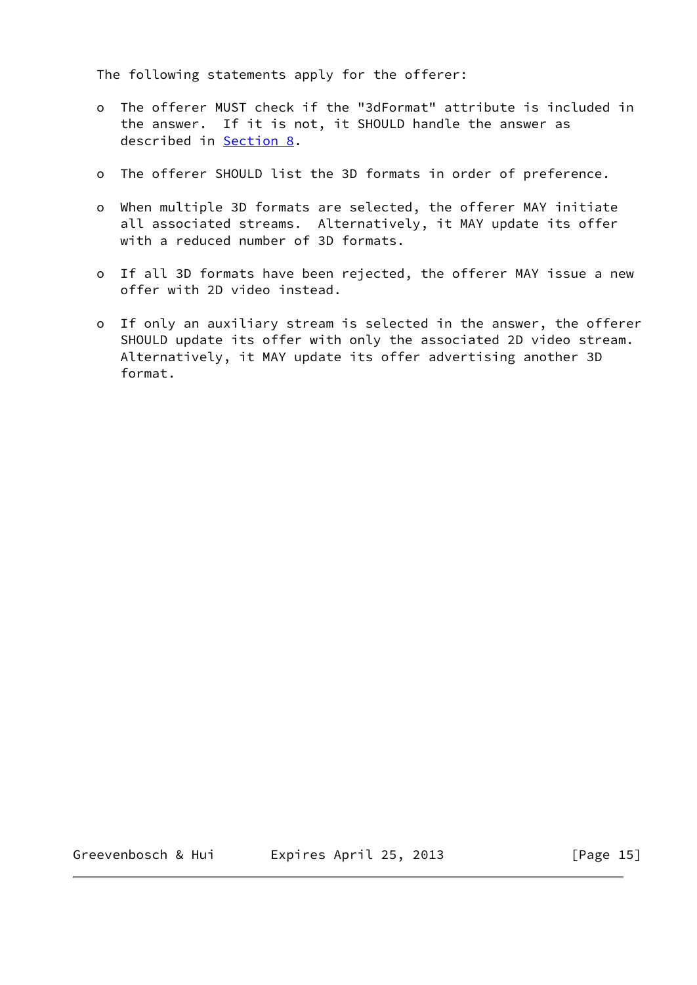The following statements apply for the offerer:

- o The offerer MUST check if the "3dFormat" attribute is included in the answer. If it is not, it SHOULD handle the answer as described in [Section 8](#page-17-0).
- o The offerer SHOULD list the 3D formats in order of preference.
- o When multiple 3D formats are selected, the offerer MAY initiate all associated streams. Alternatively, it MAY update its offer with a reduced number of 3D formats.
- o If all 3D formats have been rejected, the offerer MAY issue a new offer with 2D video instead.
- o If only an auxiliary stream is selected in the answer, the offerer SHOULD update its offer with only the associated 2D video stream. Alternatively, it MAY update its offer advertising another 3D format.

Greevenbosch & Hui Fxpires April 25, 2013 [Page 15]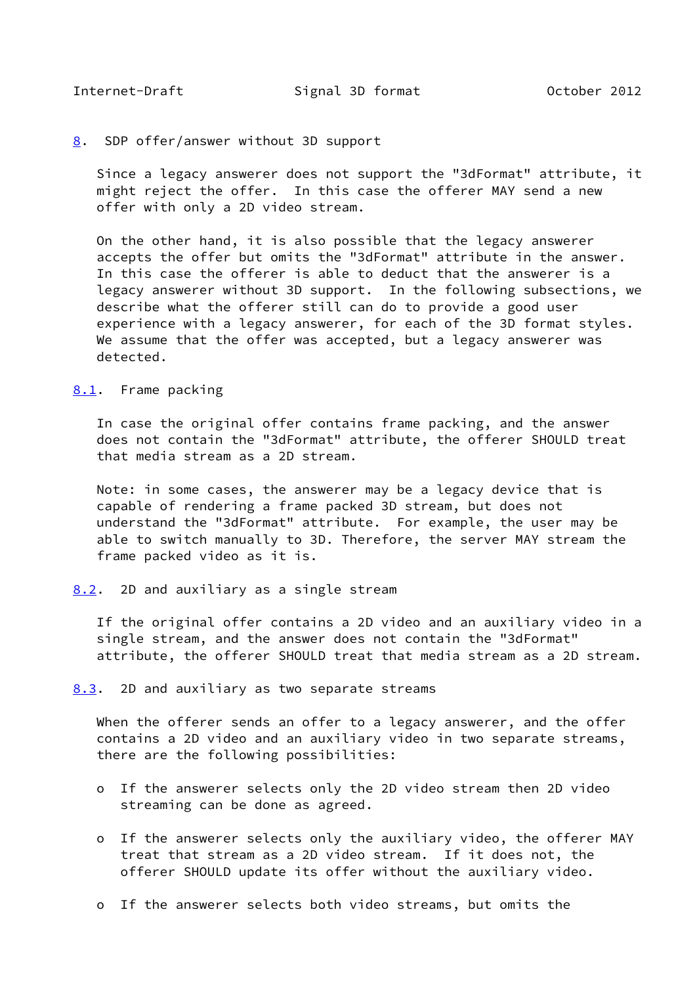#### <span id="page-17-1"></span><span id="page-17-0"></span>[8](#page-17-0). SDP offer/answer without 3D support

 Since a legacy answerer does not support the "3dFormat" attribute, it might reject the offer. In this case the offerer MAY send a new offer with only a 2D video stream.

 On the other hand, it is also possible that the legacy answerer accepts the offer but omits the "3dFormat" attribute in the answer. In this case the offerer is able to deduct that the answerer is a legacy answerer without 3D support. In the following subsections, we describe what the offerer still can do to provide a good user experience with a legacy answerer, for each of the 3D format styles. We assume that the offer was accepted, but a legacy answerer was detected.

#### <span id="page-17-2"></span>[8.1](#page-17-2). Frame packing

 In case the original offer contains frame packing, and the answer does not contain the "3dFormat" attribute, the offerer SHOULD treat that media stream as a 2D stream.

 Note: in some cases, the answerer may be a legacy device that is capable of rendering a frame packed 3D stream, but does not understand the "3dFormat" attribute. For example, the user may be able to switch manually to 3D. Therefore, the server MAY stream the frame packed video as it is.

<span id="page-17-3"></span>[8.2](#page-17-3). 2D and auxiliary as a single stream

 If the original offer contains a 2D video and an auxiliary video in a single stream, and the answer does not contain the "3dFormat" attribute, the offerer SHOULD treat that media stream as a 2D stream.

<span id="page-17-4"></span>[8.3](#page-17-4). 2D and auxiliary as two separate streams

 When the offerer sends an offer to a legacy answerer, and the offer contains a 2D video and an auxiliary video in two separate streams, there are the following possibilities:

- o If the answerer selects only the 2D video stream then 2D video streaming can be done as agreed.
- o If the answerer selects only the auxiliary video, the offerer MAY treat that stream as a 2D video stream. If it does not, the offerer SHOULD update its offer without the auxiliary video.
- o If the answerer selects both video streams, but omits the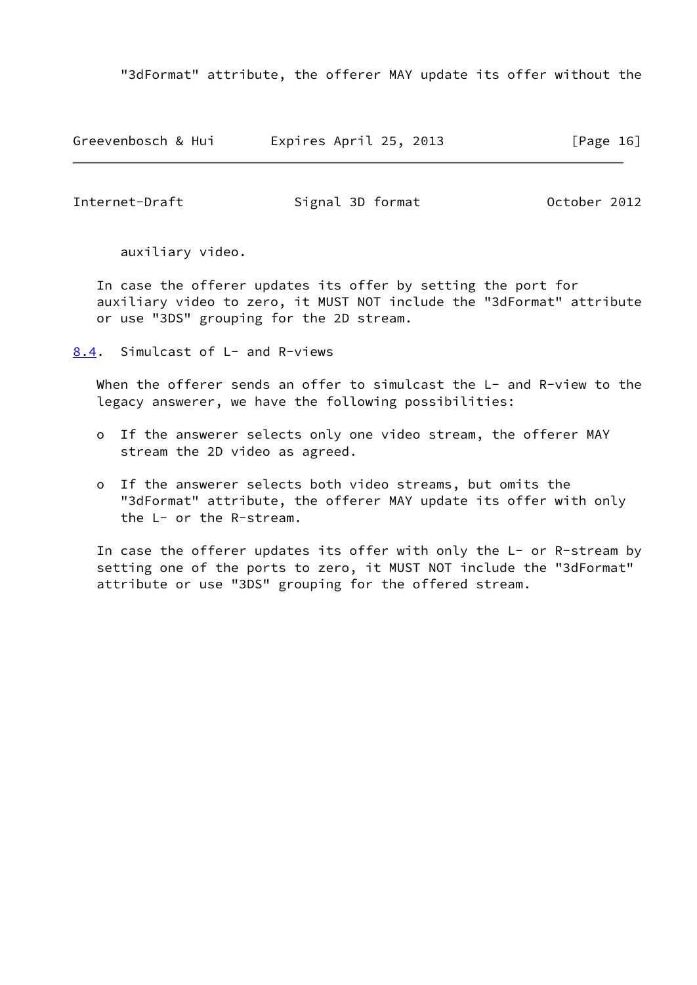"3dFormat" attribute, the offerer MAY update its offer without the

| Greevenbosch & Hui | Expires April 25, 2013 | [Page 16] |
|--------------------|------------------------|-----------|
|--------------------|------------------------|-----------|

<span id="page-18-1"></span>Internet-Draft Signal 3D format October 2012

auxiliary video.

 In case the offerer updates its offer by setting the port for auxiliary video to zero, it MUST NOT include the "3dFormat" attribute or use "3DS" grouping for the 2D stream.

<span id="page-18-0"></span>[8.4](#page-18-0). Simulcast of L- and R-views

When the offerer sends an offer to simulcast the L- and R-view to the legacy answerer, we have the following possibilities:

- o If the answerer selects only one video stream, the offerer MAY stream the 2D video as agreed.
- o If the answerer selects both video streams, but omits the "3dFormat" attribute, the offerer MAY update its offer with only the L- or the R-stream.

 In case the offerer updates its offer with only the L- or R-stream by setting one of the ports to zero, it MUST NOT include the "3dFormat" attribute or use "3DS" grouping for the offered stream.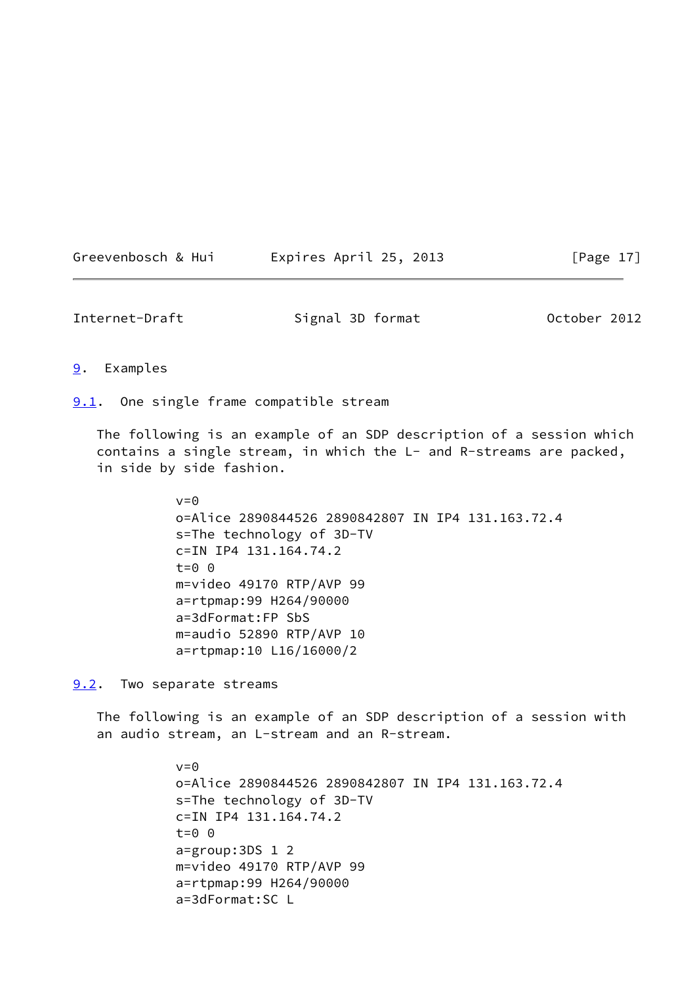$[Page 17]$ 

<span id="page-19-1"></span>Internet-Draft Signal 3D format October 2012

### <span id="page-19-0"></span>[9](#page-19-0). Examples

<span id="page-19-2"></span>[9.1](#page-19-2). One single frame compatible stream

 The following is an example of an SDP description of a session which contains a single stream, in which the L- and R-streams are packed, in side by side fashion.

> $v=0$  o=Alice 2890844526 2890842807 IN IP4 131.163.72.4 s=The technology of 3D-TV c=IN IP4 131.164.74.2 t=0 0 m=video 49170 RTP/AVP 99 a=rtpmap:99 H264/90000 a=3dFormat:FP SbS m=audio 52890 RTP/AVP 10 a=rtpmap:10 L16/16000/2

<span id="page-19-3"></span>[9.2](#page-19-3). Two separate streams

 The following is an example of an SDP description of a session with an audio stream, an L-stream and an R-stream.

> $v=0$  o=Alice 2890844526 2890842807 IN IP4 131.163.72.4 s=The technology of 3D-TV c=IN IP4 131.164.74.2 t=0 0 a=group:3DS 1 2 m=video 49170 RTP/AVP 99 a=rtpmap:99 H264/90000 a=3dFormat:SC L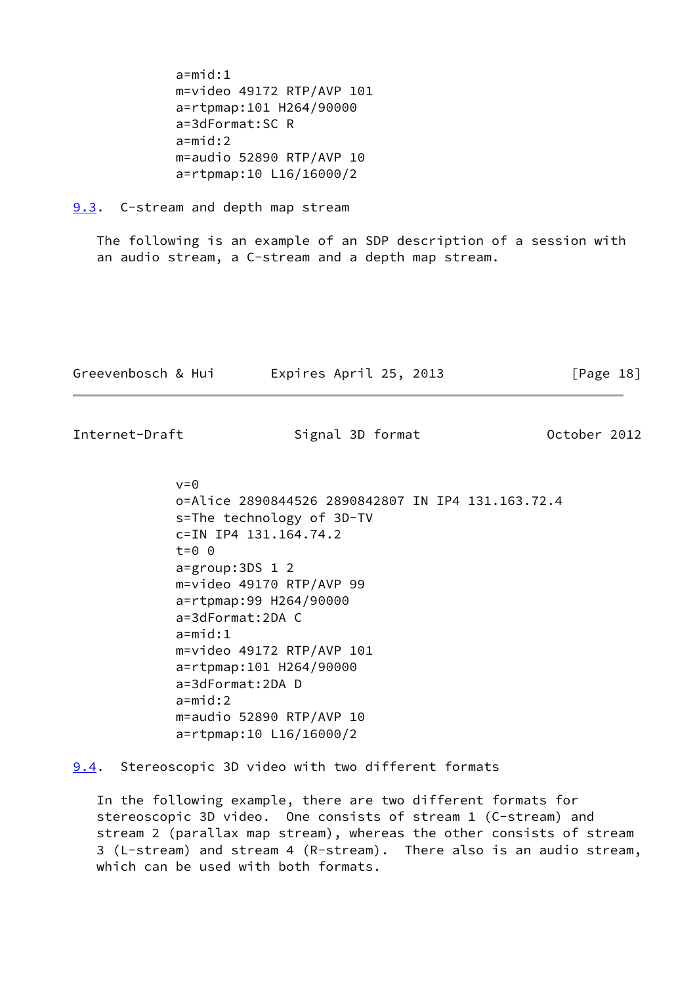$a = mid:1$  m=video 49172 RTP/AVP 101 a=rtpmap:101 H264/90000 a=3dFormat:SC R a=mid:2 m=audio 52890 RTP/AVP 10 a=rtpmap:10 L16/16000/2

<span id="page-20-0"></span>[9.3](#page-20-0). C-stream and depth map stream

 The following is an example of an SDP description of a session with an audio stream, a C-stream and a depth map stream.

| Greevenbosch & Hui | Expires April 25, 2013 | [Page 18] |
|--------------------|------------------------|-----------|
|--------------------|------------------------|-----------|

<span id="page-20-2"></span>Internet-Draft Signal 3D format October 2012

 $v = \Theta$  o=Alice 2890844526 2890842807 IN IP4 131.163.72.4 s=The technology of 3D-TV c=IN IP4 131.164.74.2 t=0 0 a=group:3DS 1 2 m=video 49170 RTP/AVP 99 a=rtpmap:99 H264/90000 a=3dFormat:2DA C  $a = mid:1$  m=video 49172 RTP/AVP 101 a=rtpmap:101 H264/90000 a=3dFormat:2DA D  $a = mid:2$  m=audio 52890 RTP/AVP 10 a=rtpmap:10 L16/16000/2

<span id="page-20-1"></span>[9.4](#page-20-1). Stereoscopic 3D video with two different formats

 In the following example, there are two different formats for stereoscopic 3D video. One consists of stream 1 (C-stream) and stream 2 (parallax map stream), whereas the other consists of stream 3 (L-stream) and stream 4 (R-stream). There also is an audio stream, which can be used with both formats.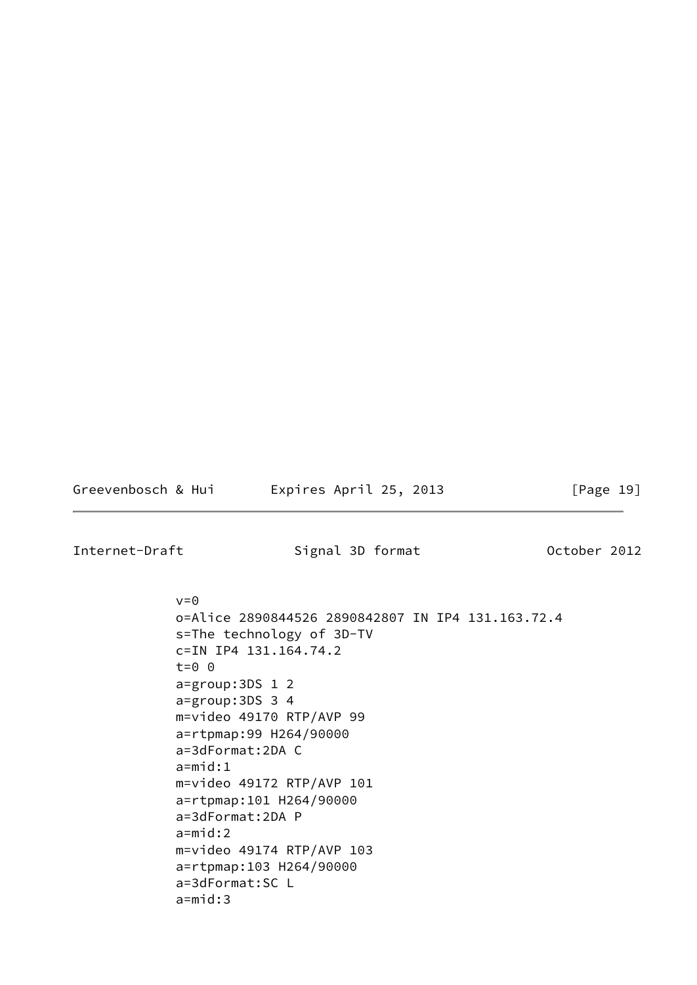Greevenbosch & Hui Fxpires April 25, 2013 [Page 19]

Internet-Draft Signal 3D format October 2012

 $v=0$  o=Alice 2890844526 2890842807 IN IP4 131.163.72.4 s=The technology of 3D-TV c=IN IP4 131.164.74.2 t=0 0 a=group:3DS 1 2 a=group:3DS 3 4 m=video 49170 RTP/AVP 99 a=rtpmap:99 H264/90000 a=3dFormat:2DA C a=mid:1 m=video 49172 RTP/AVP 101 a=rtpmap:101 H264/90000 a=3dFormat:2DA P a=mid:2 m=video 49174 RTP/AVP 103 a=rtpmap:103 H264/90000 a=3dFormat:SC L a=mid:3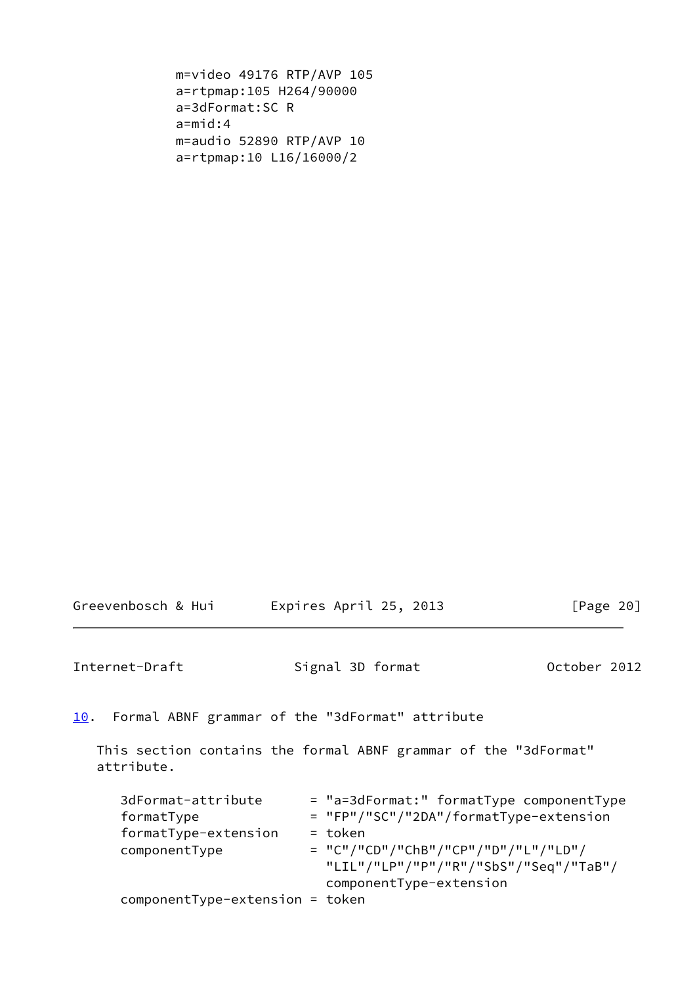m=video 49176 RTP/AVP 105 a=rtpmap:105 H264/90000 a=3dFormat:SC R a=mid:4 m=audio 52890 RTP/AVP 10 a=rtpmap:10 L16/16000/2

<span id="page-22-1"></span><span id="page-22-0"></span>

| Greevenbosch & Hui                                                        | Expires April 25, 2013                                                                                                                                                                                       | [Page 20]    |
|---------------------------------------------------------------------------|--------------------------------------------------------------------------------------------------------------------------------------------------------------------------------------------------------------|--------------|
| Internet-Draft                                                            | Signal 3D format                                                                                                                                                                                             | October 2012 |
| 10.                                                                       | Formal ABNF grammar of the "3dFormat" attribute                                                                                                                                                              |              |
| attribute.                                                                | This section contains the formal ABNF grammar of the "3dFormat"                                                                                                                                              |              |
| 3dFormat-attribute<br>formatType<br>formatType-extension<br>componentType | = "a=3dFormat:" formatType componentType<br>= "FP"/"SC"/"2DA"/formatType-extension<br>$=$ token<br>$=$ "C"/"CD"/"ChB"/"CP"/"D"/"L"/"LD"/<br>"LIL"/"LP"/"P"/"R"/"SbS"/"Seq"/"TaB"/<br>componentType-extension |              |
| $componentType-extension = token$                                         |                                                                                                                                                                                                              |              |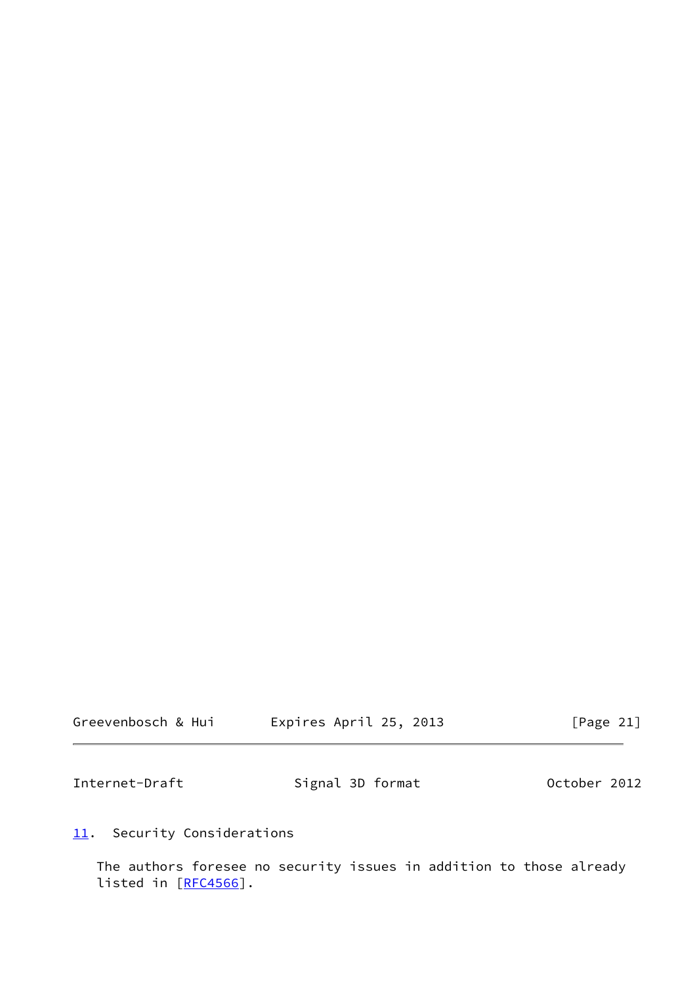| Greevenbosch & Hui | Expires April 25, 2013 | [Page 21] |
|--------------------|------------------------|-----------|
|--------------------|------------------------|-----------|

<span id="page-23-1"></span>Internet-Draft Signal 3D format 6 0ctober 2012

<span id="page-23-0"></span>[11.](#page-23-0) Security Considerations

 The authors foresee no security issues in addition to those already listed in [[RFC4566](https://datatracker.ietf.org/doc/pdf/rfc4566)].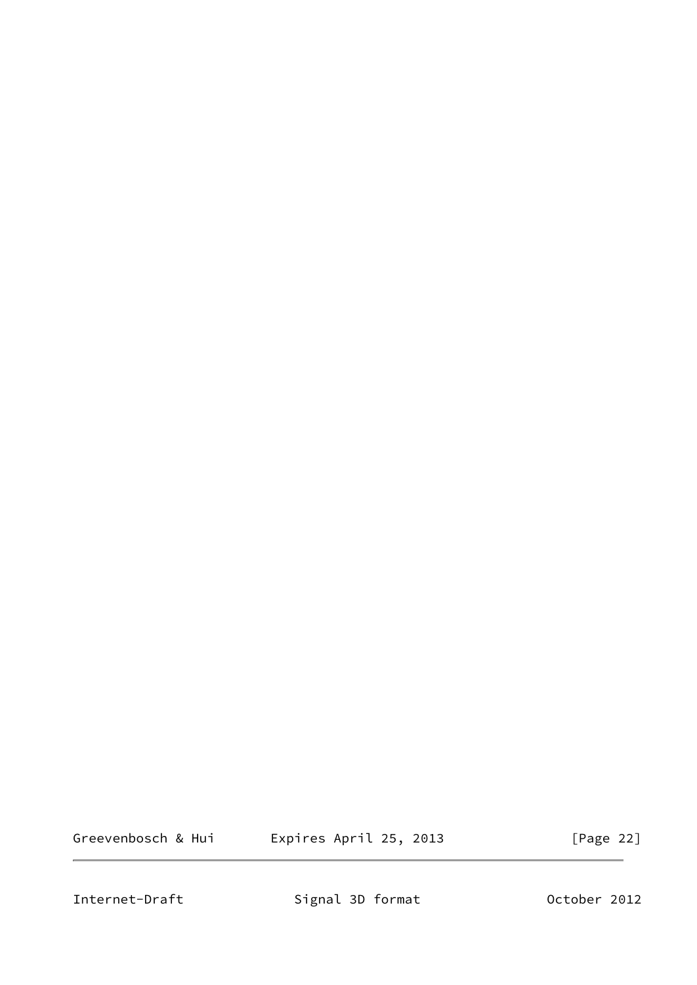Greevenbosch & Hui Fxpires April 25, 2013 [Page 22]

<span id="page-24-0"></span>Internet-Draft Signal 3D format 6 0ctober 2012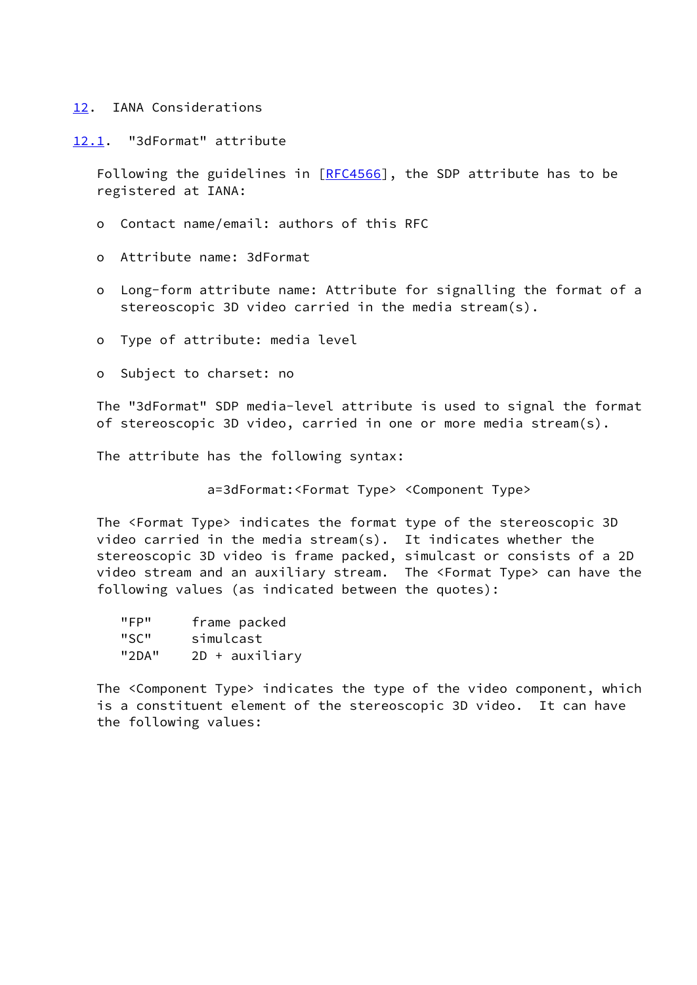### <span id="page-25-0"></span>[12.](#page-25-0) IANA Considerations

### <span id="page-25-1"></span>[12.1](#page-25-1). "3dFormat" attribute

Following the guidelines in  $[RFC4566]$  $[RFC4566]$ , the SDP attribute has to be registered at IANA:

- o Contact name/email: authors of this RFC
- o Attribute name: 3dFormat
- o Long-form attribute name: Attribute for signalling the format of a stereoscopic 3D video carried in the media stream(s).
- o Type of attribute: media level
- o Subject to charset: no

 The "3dFormat" SDP media-level attribute is used to signal the format of stereoscopic 3D video, carried in one or more media stream(s).

The attribute has the following syntax:

a=3dFormat:<Format Type> <Component Type>

 The <Format Type> indicates the format type of the stereoscopic 3D video carried in the media stream(s). It indicates whether the stereoscopic 3D video is frame packed, simulcast or consists of a 2D video stream and an auxiliary stream. The <Format Type> can have the following values (as indicated between the quotes):

| "FP"  | frame packed     |
|-------|------------------|
| "SC"  | simulcast        |
| "2DA" | $2D + auxiliary$ |

 The <Component Type> indicates the type of the video component, which is a constituent element of the stereoscopic 3D video. It can have the following values: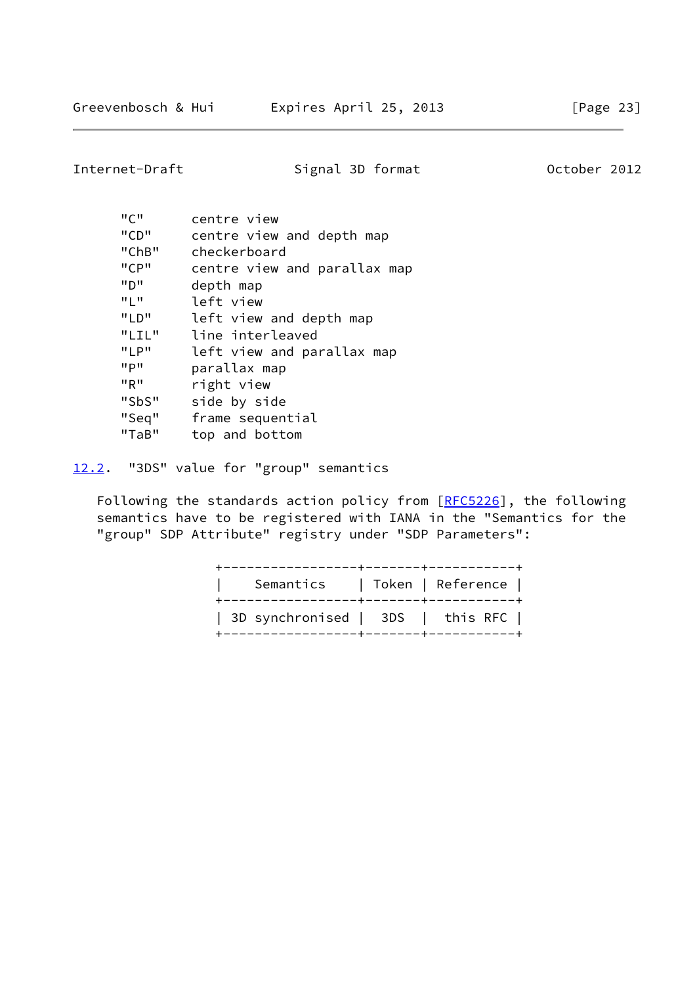<span id="page-26-1"></span>Internet-Draft Signal 3D format October 2012

| "C"     | centre view                  |
|---------|------------------------------|
| "CD"    | centre view and depth map    |
| "ChB"   | checkerboard                 |
| "CP"    | centre view and parallax map |
| יים"    | depth map                    |
| 11   11 | left view                    |
| "LD"    | left view and depth map      |
| "LIL"   | line interleaved             |
| "LP"    | left view and parallax map   |
| "P"     | parallax map                 |
| "R"     | right view                   |
| "SbS"   | side by side                 |
| "Seq"   | frame sequential             |
| "TaB"   | top and bottom               |
|         |                              |

<span id="page-26-0"></span>[12.2](#page-26-0). "3DS" value for "group" semantics

Following the standards action policy from [[RFC5226\]](https://datatracker.ietf.org/doc/pdf/rfc5226), the following semantics have to be registered with IANA in the "Semantics for the "group" SDP Attribute" registry under "SDP Parameters":

| ----------------+-------+------------<br>Semantics   Token   Reference  <br>----------------+-------+------------ |  |  |
|-------------------------------------------------------------------------------------------------------------------|--|--|
| 3D synchronised   3DS   this RFC                                                                                  |  |  |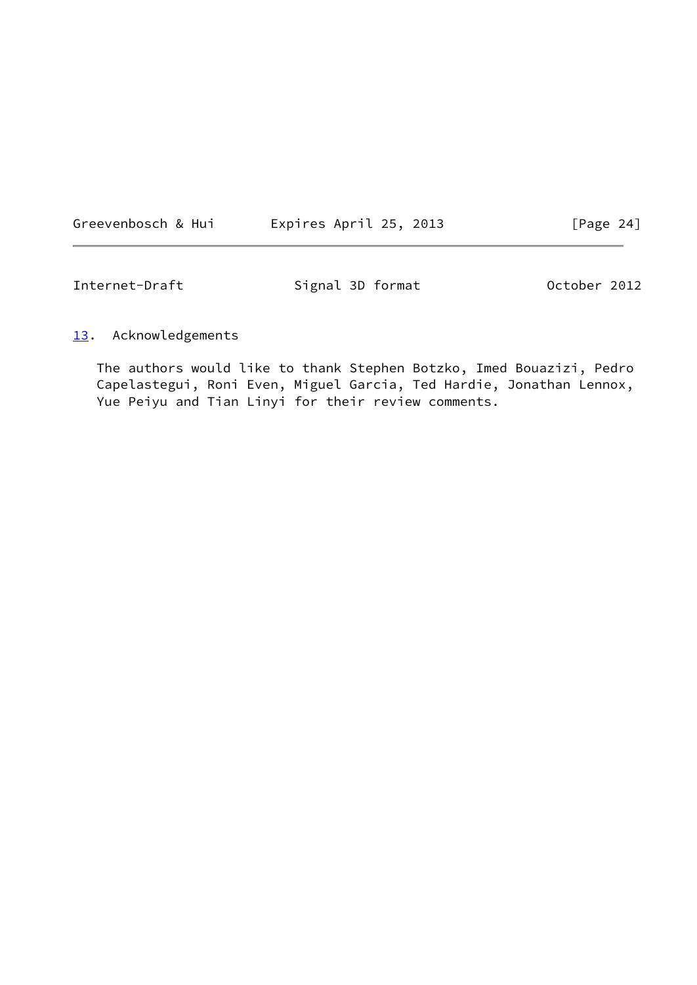Greevenbosch & Hui Fxpires April 25, 2013 [Page 24]

<span id="page-27-1"></span>Internet-Draft Signal 3D format October 2012

# <span id="page-27-0"></span>[13.](#page-27-0) Acknowledgements

 The authors would like to thank Stephen Botzko, Imed Bouazizi, Pedro Capelastegui, Roni Even, Miguel Garcia, Ted Hardie, Jonathan Lennox, Yue Peiyu and Tian Linyi for their review comments.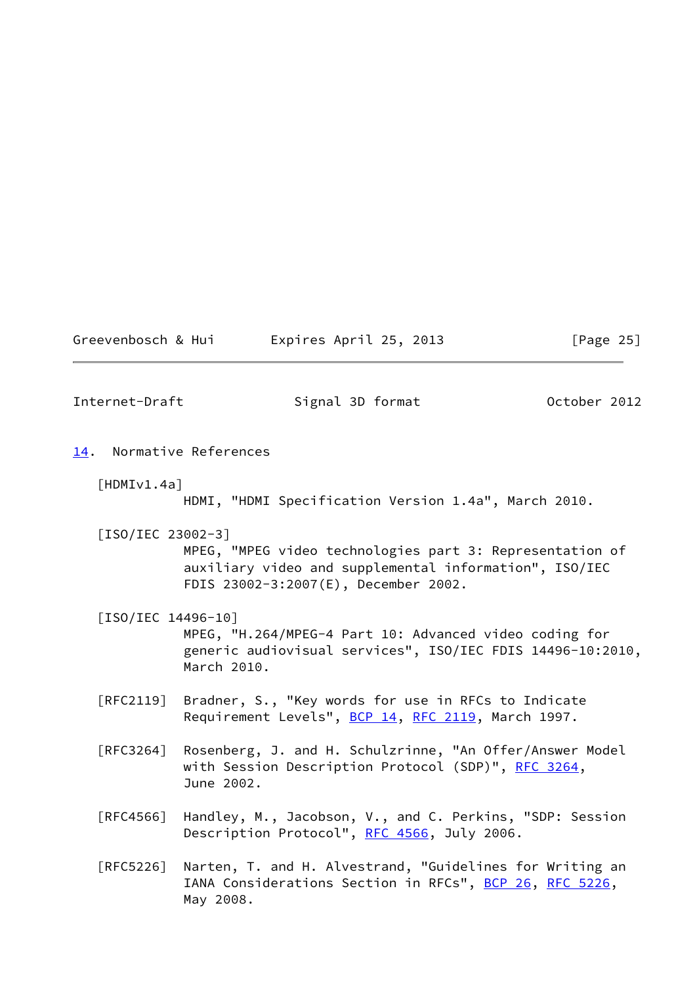### Greevenbosch & Hui Expires April 25, 2013 [Page 25]

<span id="page-28-1"></span>Internet-Draft Signal 3D format October 2012

- <span id="page-28-2"></span><span id="page-28-0"></span>[14.](#page-28-0) Normative References
	- [HDMIv1.4a]

HDMI, "HDMI Specification Version 1.4a", March 2010.

[ISO/IEC 23002-3]

 MPEG, "MPEG video technologies part 3: Representation of auxiliary video and supplemental information", ISO/IEC FDIS 23002-3:2007(E), December 2002.

- [ISO/IEC 14496-10] MPEG, "H.264/MPEG-4 Part 10: Advanced video coding for generic audiovisual services", ISO/IEC FDIS 14496-10:2010, March 2010.
- [RFC2119] Bradner, S., "Key words for use in RFCs to Indicate Requirement Levels", [BCP 14](https://datatracker.ietf.org/doc/pdf/bcp14), [RFC 2119](https://datatracker.ietf.org/doc/pdf/rfc2119), March 1997.
- [RFC3264] Rosenberg, J. and H. Schulzrinne, "An Offer/Answer Model with Session Description Protocol (SDP)", [RFC 3264](https://datatracker.ietf.org/doc/pdf/rfc3264), June 2002.
- [RFC4566] Handley, M., Jacobson, V., and C. Perkins, "SDP: Session Description Protocol", [RFC 4566](https://datatracker.ietf.org/doc/pdf/rfc4566), July 2006.
- [RFC5226] Narten, T. and H. Alvestrand, "Guidelines for Writing an IANA Considerations Section in RFCs", [BCP 26](https://datatracker.ietf.org/doc/pdf/bcp26), [RFC 5226](https://datatracker.ietf.org/doc/pdf/rfc5226), May 2008.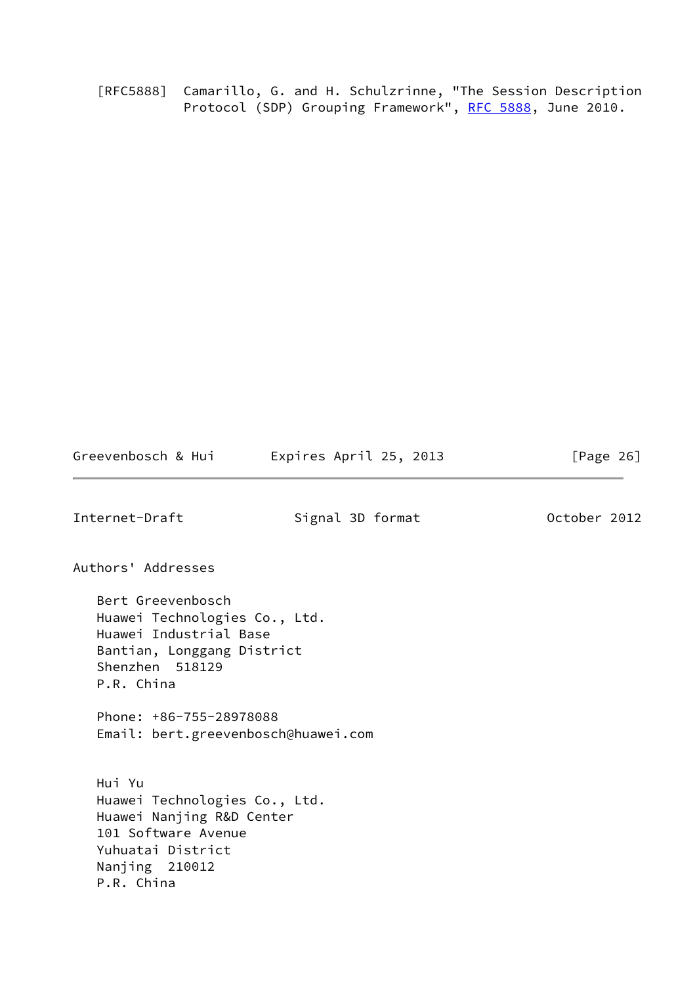[RFC5888] Camarillo, G. and H. Schulzrinne, "The Session Description Protocol (SDP) Grouping Framework", [RFC 5888,](https://datatracker.ietf.org/doc/pdf/rfc5888) June 2010.

Greevenbosch & Hui Fxpires April 25, 2013 [Page 26]

<span id="page-29-0"></span>Internet-Draft Signal 3D format October 2012

Authors' Addresses

 Bert Greevenbosch Huawei Technologies Co., Ltd. Huawei Industrial Base Bantian, Longgang District Shenzhen 518129 P.R. China

 Phone: +86-755-28978088 Email: bert.greevenbosch@huawei.com

 Hui Yu Huawei Technologies Co., Ltd. Huawei Nanjing R&D Center 101 Software Avenue Yuhuatai District Nanjing 210012 P.R. China